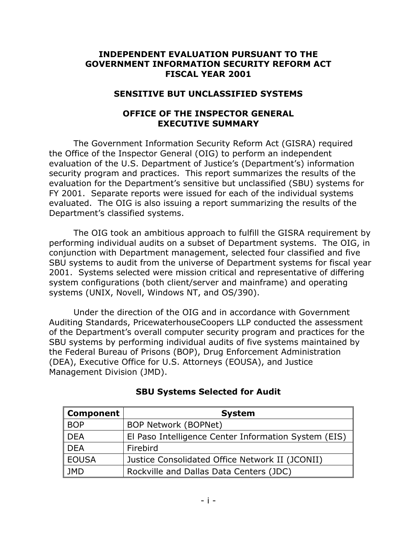### **INDEPENDENT EVALUATION PURSUANT TO THE GOVERNMENT INFORMATION SECURITY REFORM ACT FISCAL YEAR 2001**

#### **SENSITIVE BUT UNCLASSIFIED SYSTEMS**

### **OFFICE OF THE INSPECTOR GENERAL EXECUTIVE SUMMARY**

The Government Information Security Reform Act (GISRA) required the Office of the Inspector General (OIG) to perform an independent evaluation of the U.S. Department of Justice's (Department's) information security program and practices. This report summarizes the results of the evaluation for the Department's sensitive but unclassified (SBU) systems for FY 2001. Separate reports were issued for each of the individual systems evaluated. The OIG is also issuing a report summarizing the results of the Department's classified systems.

The OIG took an ambitious approach to fulfill the GISRA requirement by performing individual audits on a subset of Department systems. The OIG, in conjunction with Department management, selected four classified and five SBU systems to audit from the universe of Department systems for fiscal year 2001. Systems selected were mission critical and representative of differing system configurations (both client/server and mainframe) and operating systems (UNIX, Novell, Windows NT, and OS/390).

Under the direction of the OIG and in accordance with Government Auditing Standards, PricewaterhouseCoopers LLP conducted the assessment of the Department's overall computer security program and practices for the SBU systems by performing individual audits of five systems maintained by the Federal Bureau of Prisons (BOP), Drug Enforcement Administration (DEA), Executive Office for U.S. Attorneys (EOUSA), and Justice Management Division (JMD).

| Component    | <b>System</b>                                        |
|--------------|------------------------------------------------------|
| <b>BOP</b>   | <b>BOP Network (BOPNet)</b>                          |
| <b>DEA</b>   | El Paso Intelligence Center Information System (EIS) |
| DEA          | Firebird                                             |
| <b>EOUSA</b> | Justice Consolidated Office Network II (JCONII)      |
| JMD          | Rockville and Dallas Data Centers (JDC)              |

### **SBU Systems Selected for Audit**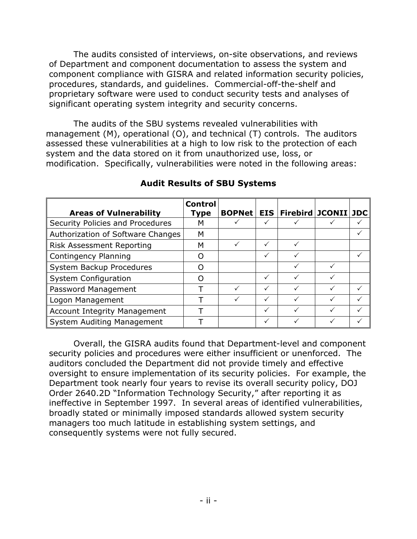The audits consisted of interviews, on-site observations, and reviews of Department and component documentation to assess the system and component compliance with GISRA and related information security policies, procedures, standards, and guidelines. Commercial-off-the-shelf and proprietary software were used to conduct security tests and analyses of significant operating system integrity and security concerns.

The audits of the SBU systems revealed vulnerabilities with management (M), operational (O), and technical (T) controls. The auditors assessed these vulnerabilities at a high to low risk to the protection of each system and the data stored on it from unauthorized use, loss, or modification. Specifically, vulnerabilities were noted in the following areas:

|                                     | <b>Control</b> |               |            |                         |  |
|-------------------------------------|----------------|---------------|------------|-------------------------|--|
| <b>Areas of Vulnerability</b>       | Type           | <b>BOPNet</b> | <b>EIS</b> | Firebird   JCONII   JDC |  |
| Security Policies and Procedures    | м              |               |            |                         |  |
| Authorization of Software Changes   | М              |               |            |                         |  |
| <b>Risk Assessment Reporting</b>    | м              |               | ✓          |                         |  |
| Contingency Planning                |                |               |            |                         |  |
| System Backup Procedures            |                |               |            |                         |  |
| <b>System Configuration</b>         |                |               |            |                         |  |
| Password Management                 |                |               |            |                         |  |
| Logon Management                    |                |               |            |                         |  |
| <b>Account Integrity Management</b> |                |               | ✓          |                         |  |
| System Auditing Management          |                |               |            |                         |  |

# **Audit Results of SBU Systems**

Overall, the GISRA audits found that Department-level and component security policies and procedures were either insufficient or unenforced. The auditors concluded the Department did not provide timely and effective oversight to ensure implementation of its security policies. For example, the Department took nearly four years to revise its overall security policy, DOJ Order 2640.2D "Information Technology Security," after reporting it as ineffective in September 1997. In several areas of identified vulnerabilities, broadly stated or minimally imposed standards allowed system security managers too much latitude in establishing system settings, and consequently systems were not fully secured.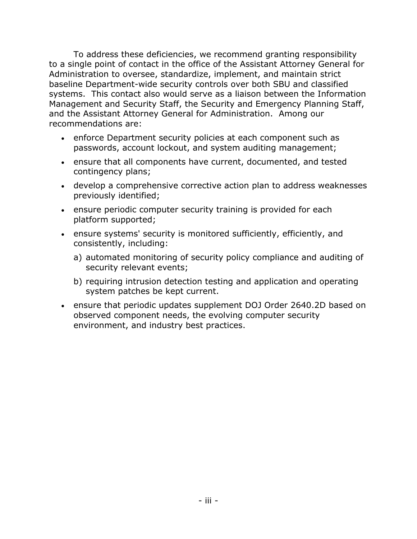To address these deficiencies, we recommend granting responsibility to a single point of contact in the office of the Assistant Attorney General for Administration to oversee, standardize, implement, and maintain strict baseline Department-wide security controls over both SBU and classified systems. This contact also would serve as a liaison between the Information Management and Security Staff, the Security and Emergency Planning Staff, and the Assistant Attorney General for Administration. Among our recommendations are:

- enforce Department security policies at each component such as passwords, account lockout, and system auditing management;
- ensure that all components have current, documented, and tested contingency plans;
- develop a comprehensive corrective action plan to address weaknesses previously identified;
- ensure periodic computer security training is provided for each platform supported;
- ensure systems' security is monitored sufficiently, efficiently, and consistently, including:
	- a) automated monitoring of security policy compliance and auditing of security relevant events;
	- b) requiring intrusion detection testing and application and operating system patches be kept current.
- ensure that periodic updates supplement DOJ Order 2640.2D based on observed component needs, the evolving computer security environment, and industry best practices.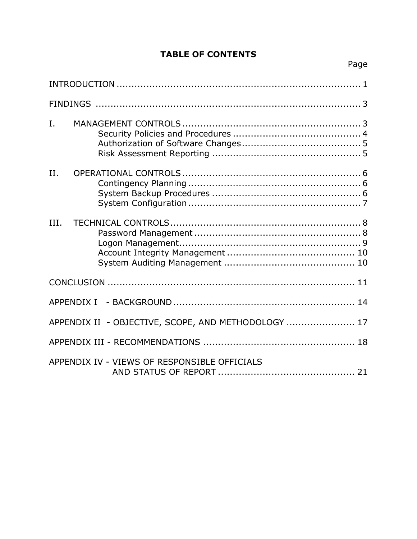# **TABLE OF CONTENTS**

| I.   |                                                     |
|------|-----------------------------------------------------|
| II.  |                                                     |
| III. |                                                     |
|      |                                                     |
|      |                                                     |
|      | APPENDIX II - OBJECTIVE, SCOPE, AND METHODOLOGY  17 |
|      |                                                     |
|      | APPENDIX IV - VIEWS OF RESPONSIBLE OFFICIALS        |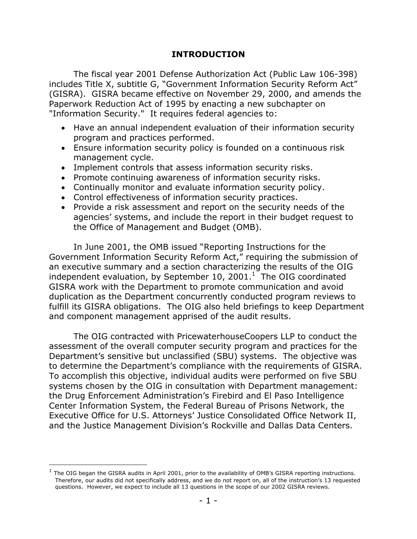### <span id="page-4-0"></span>**INTRODUCTION**

The fiscal year 2001 Defense Authorization Act (Public Law 106-398) includes Title X, subtitle G, "Government Information Security Reform Act" (GISRA). GISRA became effective on November 29, 2000, and amends the Paperwork Reduction Act of 1995 by enacting a new subchapter on "Information Security." It requires federal agencies to:

- Have an annual independent evaluation of their information security program and practices performed.
- Ensure information security policy is founded on a continuous risk management cycle.
- Implement controls that assess information security risks.
- Promote continuing awareness of information security risks.
- Continually monitor and evaluate information security policy.
- Control effectiveness of information security practices.
- Provide a risk assessment and report on the security needs of the agencies' systems, and include the report in their budget request to the Office of Management and Budget (OMB).

In June 2001, the OMB issued "Reporting Instructions for the Government Information Security Reform Act," requiring the submission of an executive summary and a section characterizing the results of the OIG independent evaluation, by September [1](#page-4-1)0, 2001. $^1$  The OIG coordinated GISRA work with the Department to promote communication and avoid duplication as the Department concurrently conducted program reviews to fulfill its GISRA obligations. The OIG also held briefings to keep Department and component management apprised of the audit results.

The OIG contracted with PricewaterhouseCoopers LLP to conduct the assessment of the overall computer security program and practices for the Department's sensitive but unclassified (SBU) systems. The objective was to determine the Department's compliance with the requirements of GISRA. To accomplish this objective, individual audits were performed on five SBU systems chosen by the OIG in consultation with Department management: the Drug Enforcement Administration's Firebird and El Paso Intelligence Center Information System, the Federal Bureau of Prisons Network, the Executive Office for U.S. Attorneys' Justice Consolidated Office Network II, and the Justice Management Division's Rockville and Dallas Data Centers.

-

<span id="page-4-1"></span>The OIG began the GISRA audits in April 2001, prior to the availability of OMB's GISRA reporting instructions. Therefore, our audits did not specifically address, and we do not report on, all of the instruction's 13 requested questions. However, we expect to include all 13 questions in the scope of our 2002 GISRA reviews.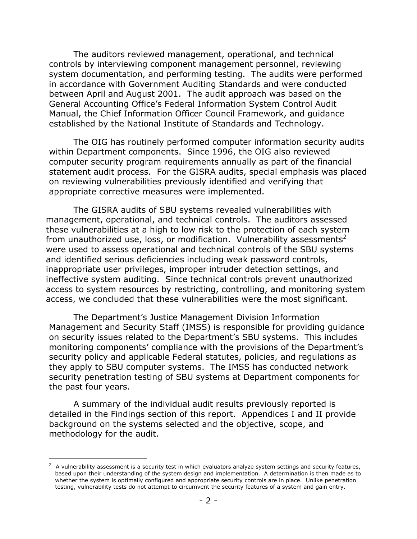The auditors reviewed management, operational, and technical controls by interviewing component management personnel, reviewing system documentation, and performing testing. The audits were performed in accordance with Government Auditing Standards and were conducted between April and August 2001. The audit approach was based on the General Accounting Office's Federal Information System Control Audit Manual, the Chief Information Officer Council Framework, and guidance established by the National Institute of Standards and Technology.

The OIG has routinely performed computer information security audits within Department components. Since 1996, the OIG also reviewed computer security program requirements annually as part of the financial statement audit process. For the GISRA audits, special emphasis was placed on reviewing vulnerabilities previously identified and verifying that appropriate corrective measures were implemented.

The GISRA audits of SBU systems revealed vulnerabilities with management, operational, and technical controls. The auditors assessed these vulnerabilities at a high to low risk to the protection of each system from unauthorized use, loss, or modification. Vulnerability assessments<sup>2</sup> were used to assess operational and technical controls of the SBU systems and identified serious deficiencies including weak password controls, inappropriate user privileges, improper intruder detection settings, and ineffective system auditing. Since technical controls prevent unauthorized access to system resources by restricting, controlling, and monitoring system access, we concluded that these vulnerabilities were the most significant.

The Department's Justice Management Division Information Management and Security Staff (IMSS) is responsible for providing guidance on security issues related to the Department's SBU systems. This includes monitoring components' compliance with the provisions of the Department's security policy and applicable Federal statutes, policies, and regulations as they apply to SBU computer systems. The IMSS has conducted network security penetration testing of SBU systems at Department components for the past four years.

A summary of the individual audit results previously reported is detailed in the Findings section of this report. Appendices I and II provide background on the systems selected and the objective, scope, and methodology for the audit.

 $\overline{a}$ 

<span id="page-5-0"></span><sup>2</sup> A vulnerability assessment is a security test in which evaluators analyze system settings and security features, based upon their understanding of the system design and implementation. A determination is then made as to whether the system is optimally configured and appropriate security controls are in place. Unlike penetration testing, vulnerability tests do not attempt to circumvent the security features of a system and gain entry.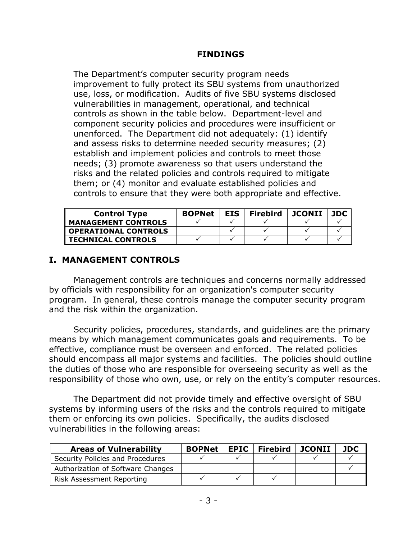### <span id="page-6-0"></span>**FINDINGS**

The Department's computer security program needs improvement to fully protect its SBU systems from unauthorized use, loss, or modification. Audits of five SBU systems disclosed vulnerabilities in management, operational, and technical controls as shown in the table below. Department-level and component security policies and procedures were insufficient or unenforced. The Department did not adequately: (1) identify and assess risks to determine needed security measures; (2) establish and implement policies and controls to meet those needs; (3) promote awareness so that users understand the risks and the related policies and controls required to mitigate them; or (4) monitor and evaluate established policies and controls to ensure that they were both appropriate and effective.

| <b>Control Type</b>         | <b>BOPNet</b> | EIS. | <b>Firebird</b> | JCONII | <b>JDC</b> |
|-----------------------------|---------------|------|-----------------|--------|------------|
| <b>MANAGEMENT CONTROLS</b>  |               |      |                 |        |            |
| <b>OPERATIONAL CONTROLS</b> |               |      |                 |        |            |
| <b>TECHNICAL CONTROLS</b>   |               |      |                 |        |            |

### <span id="page-6-1"></span>**I. MANAGEMENT CONTROLS**

Management controls are techniques and concerns normally addressed by officials with responsibility for an organization's computer security program. In general, these controls manage the computer security program and the risk within the organization.

Security policies, procedures, standards, and guidelines are the primary means by which management communicates goals and requirements. To be effective, compliance must be overseen and enforced. The related policies should encompass all major systems and facilities. The policies should outline the duties of those who are responsible for overseeing security as well as the responsibility of those who own, use, or rely on the entity's computer resources.

The Department did not provide timely and effective oversight of SBU systems by informing users of the risks and the controls required to mitigate them or enforcing its own policies. Specifically, the audits disclosed vulnerabilities in the following areas:

| <b>Areas of Vulnerability</b>     | <b>BOPNet</b> | <b>EPIC</b> | $\sf I$ Firebird | JCONII | <b>JDC</b> |
|-----------------------------------|---------------|-------------|------------------|--------|------------|
| Security Policies and Procedures  |               |             |                  |        |            |
| Authorization of Software Changes |               |             |                  |        |            |
| Risk Assessment Reporting         |               |             |                  |        |            |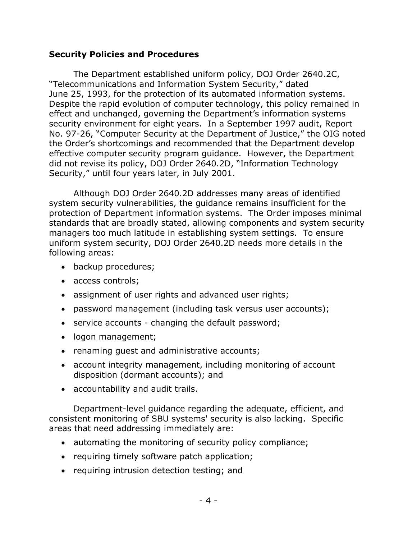### <span id="page-7-0"></span>**Security Policies and Procedures**

The Department established uniform policy, DOJ Order 2640.2C, "Telecommunications and Information System Security," dated June 25, 1993, for the protection of its automated information systems. Despite the rapid evolution of computer technology, this policy remained in effect and unchanged, governing the Department's information systems security environment for eight years. In a September 1997 audit, Report No. 97-26, "Computer Security at the Department of Justice," the OIG noted the Order's shortcomings and recommended that the Department develop effective computer security program guidance. However, the Department did not revise its policy, DOJ Order 2640.2D, "Information Technology Security," until four years later, in July 2001.

Although DOJ Order 2640.2D addresses many areas of identified system security vulnerabilities, the guidance remains insufficient for the protection of Department information systems. The Order imposes minimal standards that are broadly stated, allowing components and system security managers too much latitude in establishing system settings. To ensure uniform system security, DOJ Order 2640.2D needs more details in the following areas:

- backup procedures;
- access controls;
- assignment of user rights and advanced user rights;
- password management (including task versus user accounts);
- service accounts changing the default password;
- logon management;
- renaming guest and administrative accounts;
- account integrity management, including monitoring of account disposition (dormant accounts); and
- accountability and audit trails.

Department-level guidance regarding the adequate, efficient, and consistent monitoring of SBU systems' security is also lacking. Specific areas that need addressing immediately are:

- automating the monitoring of security policy compliance;
- requiring timely software patch application;
- requiring intrusion detection testing; and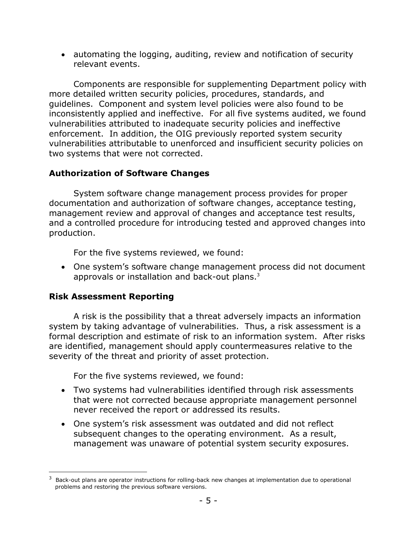• automating the logging, auditing, review and notification of security relevant events.

Components are responsible for supplementing Department policy with more detailed written security policies, procedures, standards, and guidelines. Component and system level policies were also found to be inconsistently applied and ineffective. For all five systems audited, we found vulnerabilities attributed to inadequate security policies and ineffective enforcement. In addition, the OIG previously reported system security vulnerabilities attributable to unenforced and insufficient security policies on two systems that were not corrected.

# <span id="page-8-0"></span>**Authorization of Software Changes**

System software change management process provides for proper documentation and authorization of software changes, acceptance testing, management review and approval of changes and acceptance test results, and a controlled procedure for introducing tested and approved changes into production.

For the five systems reviewed, we found:

• One system's software change management process did not document approvals or installation and back-out plans.<sup>[3](#page-8-2)</sup>

## <span id="page-8-1"></span>**Risk Assessment Reporting**

 $\overline{a}$ 

A risk is the possibility that a threat adversely impacts an information system by taking advantage of vulnerabilities. Thus, a risk assessment is a formal description and estimate of risk to an information system. After risks are identified, management should apply countermeasures relative to the severity of the threat and priority of asset protection.

For the five systems reviewed, we found:

- Two systems had vulnerabilities identified through risk assessments that were not corrected because appropriate management personnel never received the report or addressed its results.
- One system's risk assessment was outdated and did not reflect subsequent changes to the operating environment. As a result, management was unaware of potential system security exposures.

<span id="page-8-2"></span><sup>3</sup> Back-out plans are operator instructions for rolling-back new changes at implementation due to operational problems and restoring the previous software versions.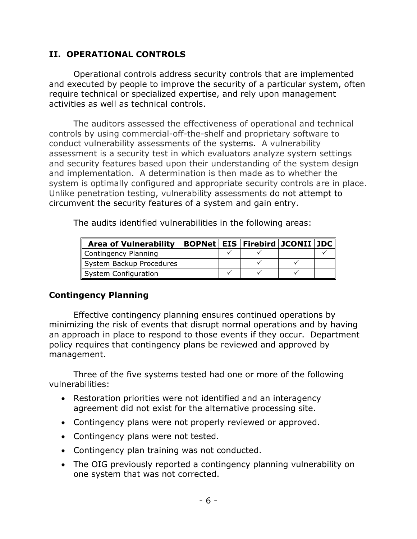## <span id="page-9-0"></span>**II. OPERATIONAL CONTROLS**

Operational controls address security controls that are implemented and executed by people to improve the security of a particular system, often require technical or specialized expertise, and rely upon management activities as well as technical controls.

The auditors assessed the effectiveness of operational and technical controls by using commercial-off-the-shelf and proprietary software to conduct vulnerability assessments of the systems. A vulnerability assessment is a security test in which evaluators analyze system settings and security features based upon their understanding of the system design and implementation. A determination is then made as to whether the system is optimally configured and appropriate security controls are in place. Unlike penetration testing, vulnerability assessments do not attempt to circumvent the security features of a system and gain entry.

The audits identified vulnerabilities in the following areas:

| <b>Area of Vulnerability</b> |  | BOPNet EIS Firebird JCONII JDC |  |
|------------------------------|--|--------------------------------|--|
| Contingency Planning         |  |                                |  |
| System Backup Procedures     |  |                                |  |
| System Configuration         |  |                                |  |

## <span id="page-9-1"></span>**Contingency Planning**

Effective contingency planning ensures continued operations by minimizing the risk of events that disrupt normal operations and by having an approach in place to respond to those events if they occur. Department policy requires that contingency plans be reviewed and approved by management.

Three of the five systems tested had one or more of the following vulnerabilities:

- Restoration priorities were not identified and an interagency agreement did not exist for the alternative processing site.
- Contingency plans were not properly reviewed or approved.
- Contingency plans were not tested.
- Contingency plan training was not conducted.
- <span id="page-9-2"></span>• The OIG previously reported a contingency planning vulnerability on one system that was not corrected.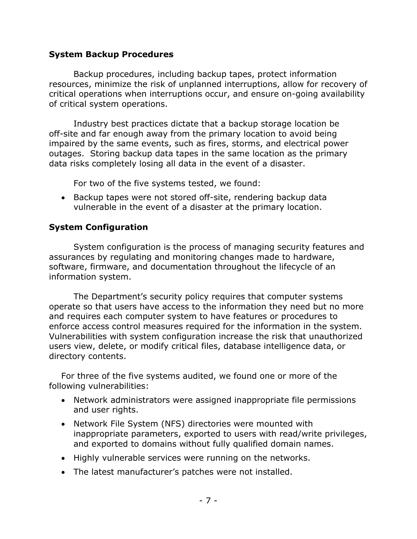### **System Backup Procedures**

Backup procedures, including backup tapes, protect information resources, minimize the risk of unplanned interruptions, allow for recovery of critical operations when interruptions occur, and ensure on-going availability of critical system operations.

Industry best practices dictate that a backup storage location be off-site and far enough away from the primary location to avoid being impaired by the same events, such as fires, storms, and electrical power outages. Storing backup data tapes in the same location as the primary data risks completely losing all data in the event of a disaster.

For two of the five systems tested, we found:

• Backup tapes were not stored off-site, rendering backup data vulnerable in the event of a disaster at the primary location.

# <span id="page-10-0"></span>**System Configuration**

System configuration is the process of managing security features and assurances by regulating and monitoring changes made to hardware, software, firmware, and documentation throughout the lifecycle of an information system.

The Department's security policy requires that computer systems operate so that users have access to the information they need but no more and requires each computer system to have features or procedures to enforce access control measures required for the information in the system. Vulnerabilities with system configuration increase the risk that unauthorized users view, delete, or modify critical files, database intelligence data, or directory contents.

For three of the five systems audited, we found one or more of the following vulnerabilities:

- Network administrators were assigned inappropriate file permissions and user rights.
- Network File System (NFS) directories were mounted with inappropriate parameters, exported to users with read/write privileges, and exported to domains without fully qualified domain names.
- Highly vulnerable services were running on the networks.
- The latest manufacturer's patches were not installed.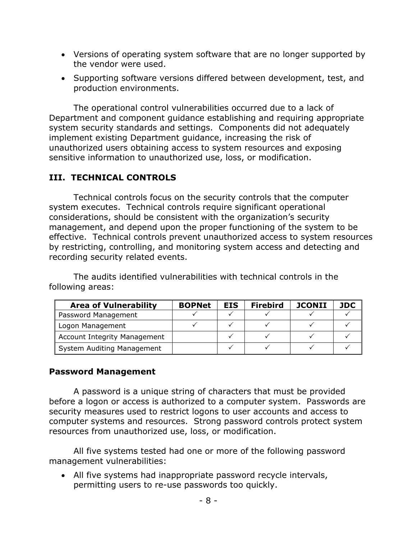- Versions of operating system software that are no longer supported by the vendor were used.
- Supporting software versions differed between development, test, and production environments.

The operational control vulnerabilities occurred due to a lack of Department and component guidance establishing and requiring appropriate system security standards and settings. Components did not adequately implement existing Department guidance, increasing the risk of unauthorized users obtaining access to system resources and exposing sensitive information to unauthorized use, loss, or modification.

# <span id="page-11-0"></span>**III. TECHNICAL CONTROLS**

Technical controls focus on the security controls that the computer system executes. Technical controls require significant operational considerations, should be consistent with the organization's security management, and depend upon the proper functioning of the system to be effective. Technical controls prevent unauthorized access to system resources by restricting, controlling, and monitoring system access and detecting and recording security related events.

The audits identified vulnerabilities with technical controls in the following areas:

| <b>Area of Vulnerability</b>        | <b>BOPNet</b> | <b>EIS</b> | <b>Firebird</b> | <b>JCONII</b> | JDC |
|-------------------------------------|---------------|------------|-----------------|---------------|-----|
| Password Management                 |               |            |                 |               |     |
| Logon Management                    |               |            |                 |               |     |
| <b>Account Integrity Management</b> |               |            |                 |               |     |
| System Auditing Management          |               |            |                 |               |     |

## <span id="page-11-1"></span>**Password Management**

A password is a unique string of characters that must be provided before a logon or access is authorized to a computer system. Passwords are security measures used to restrict logons to user accounts and access to computer systems and resources. Strong password controls protect system resources from unauthorized use, loss, or modification.

All five systems tested had one or more of the following password management vulnerabilities:

• All five systems had inappropriate password recycle intervals, permitting users to re-use passwords too quickly.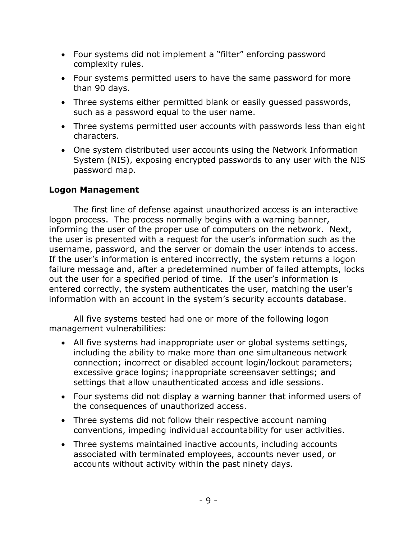- Four systems did not implement a "filter" enforcing password complexity rules.
- Four systems permitted users to have the same password for more than 90 days.
- Three systems either permitted blank or easily guessed passwords, such as a password equal to the user name.
- Three systems permitted user accounts with passwords less than eight characters.
- One system distributed user accounts using the Network Information System (NIS), exposing encrypted passwords to any user with the NIS password map.

# <span id="page-12-0"></span>**Logon Management**

The first line of defense against unauthorized access is an interactive logon process. The process normally begins with a warning banner, informing the user of the proper use of computers on the network. Next, the user is presented with a request for the user's information such as the username, password, and the server or domain the user intends to access. If the user's information is entered incorrectly, the system returns a logon failure message and, after a predetermined number of failed attempts, locks out the user for a specified period of time. If the user's information is entered correctly, the system authenticates the user, matching the user's information with an account in the system's security accounts database.

All five systems tested had one or more of the following logon management vulnerabilities:

- All five systems had inappropriate user or global systems settings, including the ability to make more than one simultaneous network connection; incorrect or disabled account login/lockout parameters; excessive grace logins; inappropriate screensaver settings; and settings that allow unauthenticated access and idle sessions.
- Four systems did not display a warning banner that informed users of the consequences of unauthorized access.
- Three systems did not follow their respective account naming conventions, impeding individual accountability for user activities.
- Three systems maintained inactive accounts, including accounts associated with terminated employees, accounts never used, or accounts without activity within the past ninety days.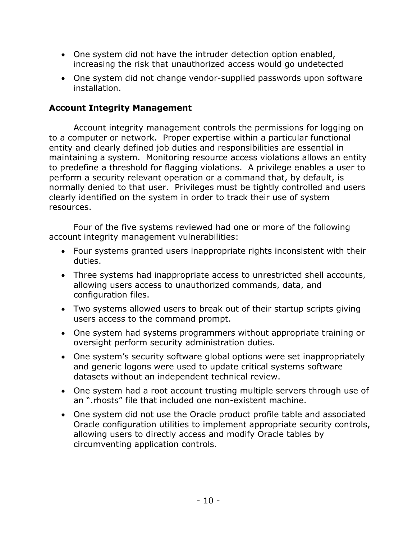- One system did not have the intruder detection option enabled, increasing the risk that unauthorized access would go undetected
- One system did not change vendor-supplied passwords upon software installation.

# <span id="page-13-0"></span>**Account Integrity Management**

Account integrity management controls the permissions for logging on to a computer or network. Proper expertise within a particular functional entity and clearly defined job duties and responsibilities are essential in maintaining a system. Monitoring resource access violations allows an entity to predefine a threshold for flagging violations. A privilege enables a user to perform a security relevant operation or a command that, by default, is normally denied to that user. Privileges must be tightly controlled and users clearly identified on the system in order to track their use of system resources.

Four of the five systems reviewed had one or more of the following account integrity management vulnerabilities:

- Four systems granted users inappropriate rights inconsistent with their duties.
- Three systems had inappropriate access to unrestricted shell accounts, allowing users access to unauthorized commands, data, and configuration files.
- Two systems allowed users to break out of their startup scripts giving users access to the command prompt.
- One system had systems programmers without appropriate training or oversight perform security administration duties.
- One system's security software global options were set inappropriately and generic logons were used to update critical systems software datasets without an independent technical review.
- One system had a root account trusting multiple servers through use of an ".rhosts" file that included one non-existent machine.
- <span id="page-13-1"></span>• One system did not use the Oracle product profile table and associated Oracle configuration utilities to implement appropriate security controls, allowing users to directly access and modify Oracle tables by circumventing application controls.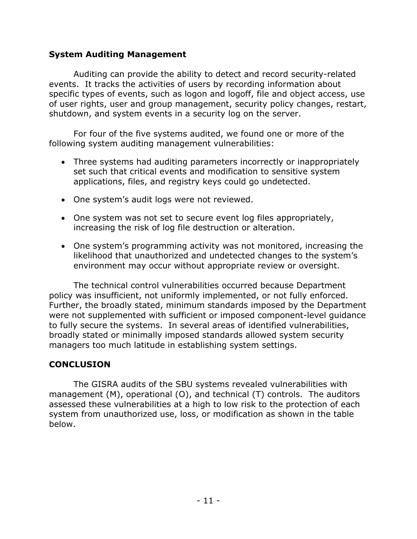### **System Auditing Management**

Auditing can provide the ability to detect and record security-related events. It tracks the activities of users by recording information about specific types of events, such as logon and logoff, file and object access, use of user rights, user and group management, security policy changes, restart, shutdown, and system events in a security log on the server.

For four of the five systems audited, we found one or more of the following system auditing management vulnerabilities:

- Three systems had auditing parameters incorrectly or inappropriately set such that critical events and modification to sensitive system applications, files, and registry keys could go undetected.
- One system's audit logs were not reviewed.
- One system was not set to secure event log files appropriately, increasing the risk of log file destruction or alteration.
- One system's programming activity was not monitored, increasing the likelihood that unauthorized and undetected changes to the system's environment may occur without appropriate review or oversight.

The technical control vulnerabilities occurred because Department policy was insufficient, not uniformly implemented, or not fully enforced. Further, the broadly stated, minimum standards imposed by the Department were not supplemented with sufficient or imposed component-level guidance to fully secure the systems. In several areas of identified vulnerabilities, broadly stated or minimally imposed standards allowed system security managers too much latitude in establishing system settings.

## <span id="page-14-0"></span>**CONCLUSION**

The GISRA audits of the SBU systems revealed vulnerabilities with management (M), operational (O), and technical (T) controls. The auditors assessed these vulnerabilities at a high to low risk to the protection of each system from unauthorized use, loss, or modification as shown in the table below.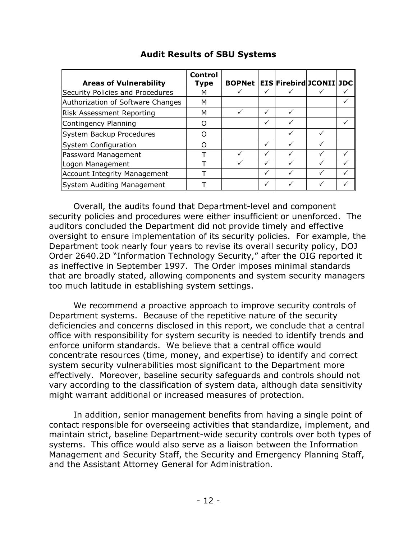| <b>Areas of Vulnerability</b>       | <b>Control</b><br>Type | <b>BOPNet</b> |              | <b>EIS Firebird JCONII JDC</b> |  |
|-------------------------------------|------------------------|---------------|--------------|--------------------------------|--|
| Security Policies and Procedures    | м                      |               |              |                                |  |
| Authorization of Software Changes   | м                      |               |              |                                |  |
| <b>Risk Assessment Reporting</b>    | м                      |               | ✓            |                                |  |
| Contingency Planning                | O                      |               | $\checkmark$ |                                |  |
| System Backup Procedures            | ( )                    |               |              |                                |  |
| System Configuration                | ∩                      |               | $\checkmark$ |                                |  |
| Password Management                 |                        |               | $\checkmark$ |                                |  |
| Logon Management                    |                        |               | $\checkmark$ |                                |  |
| <b>Account Integrity Management</b> |                        |               | ✓            |                                |  |
| System Auditing Management          |                        |               |              |                                |  |

## **Audit Results of SBU Systems**

Overall, the audits found that Department-level and component security policies and procedures were either insufficient or unenforced. The auditors concluded the Department did not provide timely and effective oversight to ensure implementation of its security policies. For example, the Department took nearly four years to revise its overall security policy, DOJ Order 2640.2D "Information Technology Security," after the OIG reported it as ineffective in September 1997. The Order imposes minimal standards that are broadly stated, allowing components and system security managers too much latitude in establishing system settings.

We recommend a proactive approach to improve security controls of Department systems. Because of the repetitive nature of the security deficiencies and concerns disclosed in this report, we conclude that a central office with responsibility for system security is needed to identify trends and enforce uniform standards. We believe that a central office would concentrate resources (time, money, and expertise) to identify and correct system security vulnerabilities most significant to the Department more effectively. Moreover, baseline security safeguards and controls should not vary according to the classification of system data, although data sensitivity might warrant additional or increased measures of protection.

In addition, senior management benefits from having a single point of contact responsible for overseeing activities that standardize, implement, and maintain strict, baseline Department-wide security controls over both types of systems. This office would also serve as a liaison between the Information Management and Security Staff, the Security and Emergency Planning Staff, and the Assistant Attorney General for Administration.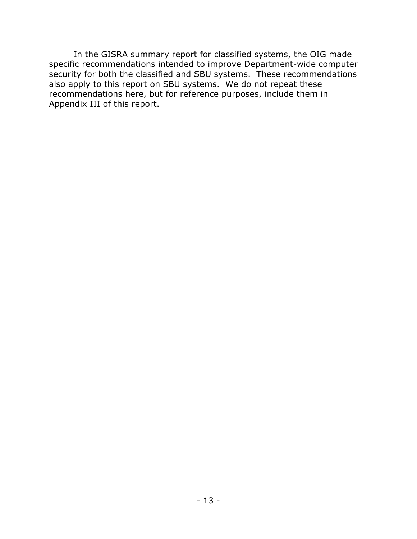In the GISRA summary report for classified systems, the OIG made specific recommendations intended to improve Department-wide computer security for both the classified and SBU systems. These recommendations also apply to this report on SBU systems. We do not repeat these recommendations here, but for reference purposes, include them in Appendix III of this report.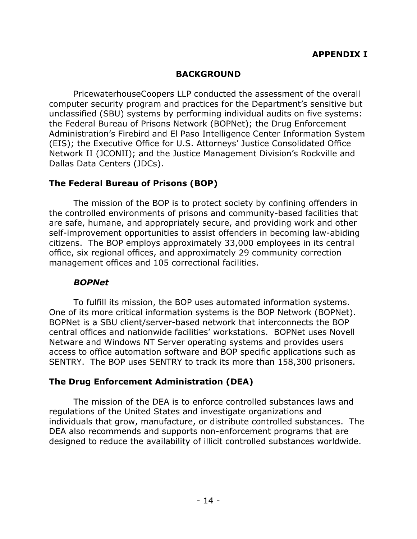### <span id="page-17-0"></span>**BACKGROUND**

PricewaterhouseCoopers LLP conducted the assessment of the overall computer security program and practices for the Department's sensitive but unclassified (SBU) systems by performing individual audits on five systems: the Federal Bureau of Prisons Network (BOPNet); the Drug Enforcement Administration's Firebird and El Paso Intelligence Center Information System (EIS); the Executive Office for U.S. Attorneys' Justice Consolidated Office Network II (JCONII); and the Justice Management Division's Rockville and Dallas Data Centers (JDCs).

### **The Federal Bureau of Prisons (BOP)**

The mission of the BOP is to protect society by confining offenders in the controlled environments of prisons and community-based facilities that are safe, humane, and appropriately secure, and providing work and other self-improvement opportunities to assist offenders in becoming law-abiding citizens. The BOP employs approximately 33,000 employees in its central office, six regional offices, and approximately 29 community correction management offices and 105 correctional facilities.

### *BOPNet*

To fulfill its mission, the BOP uses automated information systems. One of its more critical information systems is the BOP Network (BOPNet). BOPNet is a SBU client/server-based network that interconnects the BOP central offices and nationwide facilities' workstations. BOPNet uses Novell Netware and Windows NT Server operating systems and provides users access to office automation software and BOP specific applications such as SENTRY. The BOP uses SENTRY to track its more than 158,300 prisoners.

## **The Drug Enforcement Administration (DEA)**

The mission of the DEA is to enforce controlled substances laws and regulations of the United States and investigate organizations and individuals that grow, manufacture, or distribute controlled substances. The DEA also recommends and supports non-enforcement programs that are designed to reduce the availability of illicit controlled substances worldwide.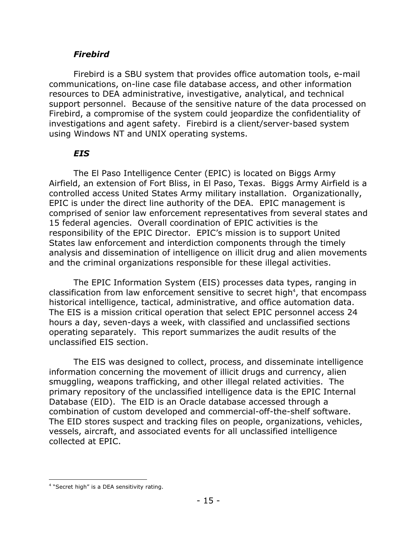## *Firebird*

Firebird is a SBU system that provides office automation tools, e-mail communications, on-line case file database access, and other information resources to DEA administrative, investigative, analytical, and technical support personnel. Because of the sensitive nature of the data processed on Firebird, a compromise of the system could jeopardize the confidentiality of investigations and agent safety. Firebird is a client/server-based system using Windows NT and UNIX operating systems.

# *EIS*

The El Paso Intelligence Center (EPIC) is located on Biggs Army Airfield, an extension of Fort Bliss, in El Paso, Texas. Biggs Army Airfield is a controlled access United States Army military installation. Organizationally, EPIC is under the direct line authority of the DEA. EPIC management is comprised of senior law enforcement representatives from several states and 15 federal agencies. Overall coordination of EPIC activities is the responsibility of the EPIC Director. EPIC's mission is to support United States law enforcement and interdiction components through the timely analysis and dissemination of intelligence on illicit drug and alien movements and the criminal organizations responsible for these illegal activities.

The EPIC Information System (EIS) processes data types, ranging in classification from law enforcement sensitive to secret high<sup>4</sup>, that encompass historical intelligence, tactical, administrative, and office automation data. The EIS is a mission critical operation that select EPIC personnel access 24 hours a day, seven-days a week, with classified and unclassified sections operating separately. This report summarizes the audit results of the unclassified EIS section.

The EIS was designed to collect, process, and disseminate intelligence information concerning the movement of illicit drugs and currency, alien smuggling, weapons trafficking, and other illegal related activities. The primary repository of the unclassified intelligence data is the EPIC Internal Database (EID). The EID is an Oracle database accessed through a combination of custom developed and commercial-off-the-shelf software. The EID stores suspect and tracking files on people, organizations, vehicles, vessels, aircraft, and associated events for all unclassified intelligence collected at EPIC.

<span id="page-18-0"></span> $\overline{a}$ <sup>4</sup> "Secret high" is a DEA sensitivity rating.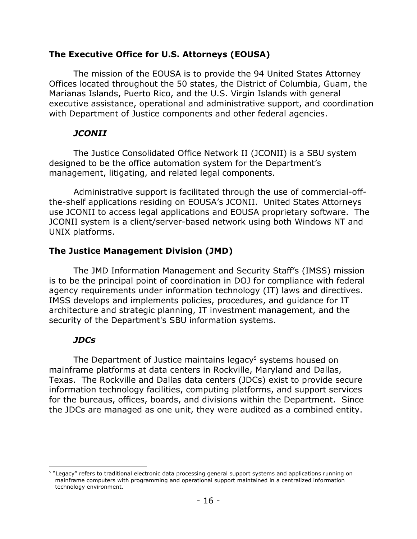### **The Executive Office for U.S. Attorneys (EOUSA)**

The mission of the EOUSA is to provide the 94 United States Attorney Offices located throughout the 50 states, the District of Columbia, Guam, the Marianas Islands, Puerto Rico, and the U.S. Virgin Islands with general executive assistance, operational and administrative support, and coordination with Department of Justice components and other federal agencies.

### *JCONII*

The Justice Consolidated Office Network II (JCONII) is a SBU system designed to be the office automation system for the Department's management, litigating, and related legal components.

Administrative support is facilitated through the use of commercial-offthe-shelf applications residing on EOUSA's JCONII. United States Attorneys use JCONII to access legal applications and EOUSA proprietary software. The JCONII system is a client/server-based network using both Windows NT and UNIX platforms.

# **The Justice Management Division (JMD)**

The JMD Information Management and Security Staff's (IMSS) mission is to be the principal point of coordination in DOJ for compliance with federal agency requirements under information technology (IT) laws and directives. IMSS develops and implements policies, procedures, and guidance for IT architecture and strategic planning, IT investment management, and the security of the Department's SBU information systems.

# *JDCs*

The Department of Justice maintains legacy<sup>[5](#page-19-0)</sup> systems housed on mainframe platforms at data centers in Rockville, Maryland and Dallas, Texas. The Rockville and Dallas data centers (JDCs) exist to provide secure information technology facilities, computing platforms, and support services for the bureaus, offices, boards, and divisions within the Department. Since the JDCs are managed as one unit, they were audited as a combined entity.

<span id="page-19-0"></span> $\overline{a}$ <sup>5</sup> "Legacy" refers to traditional electronic data processing general support systems and applications running on mainframe computers with programming and operational support maintained in a centralized information technology environment.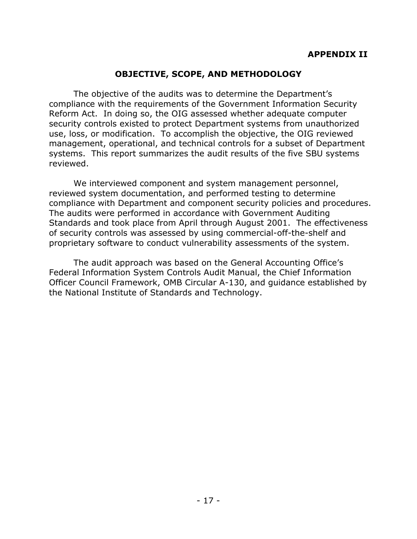# <span id="page-20-0"></span>**OBJECTIVE, SCOPE, AND METHODOLOGY**

The objective of the audits was to determine the Department's compliance with the requirements of the Government Information Security Reform Act. In doing so, the OIG assessed whether adequate computer security controls existed to protect Department systems from unauthorized use, loss, or modification. To accomplish the objective, the OIG reviewed management, operational, and technical controls for a subset of Department systems. This report summarizes the audit results of the five SBU systems reviewed.

We interviewed component and system management personnel, reviewed system documentation, and performed testing to determine compliance with Department and component security policies and procedures. The audits were performed in accordance with Government Auditing Standards and took place from April through August 2001. The effectiveness of security controls was assessed by using commercial-off-the-shelf and proprietary software to conduct vulnerability assessments of the system.

The audit approach was based on the General Accounting Office's Federal Information System Controls Audit Manual, the Chief Information Officer Council Framework, OMB Circular A-130, and guidance established by the National Institute of Standards and Technology.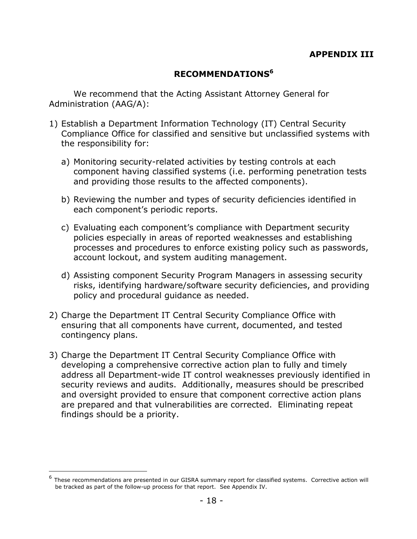## <span id="page-21-0"></span>**RECOMMENDATIONS[6](#page-21-1)**

We recommend that the Acting Assistant Attorney General for Administration (AAG/A):

- 1) Establish a Department Information Technology (IT) Central Security Compliance Office for classified and sensitive but unclassified systems with the responsibility for:
	- a) Monitoring security-related activities by testing controls at each component having classified systems (i.e. performing penetration tests and providing those results to the affected components).
	- b) Reviewing the number and types of security deficiencies identified in each component's periodic reports.
	- c) Evaluating each component's compliance with Department security policies especially in areas of reported weaknesses and establishing processes and procedures to enforce existing policy such as passwords, account lockout, and system auditing management.
	- d) Assisting component Security Program Managers in assessing security risks, identifying hardware/software security deficiencies, and providing policy and procedural guidance as needed.
- 2) Charge the Department IT Central Security Compliance Office with ensuring that all components have current, documented, and tested contingency plans.
- 3) Charge the Department IT Central Security Compliance Office with developing a comprehensive corrective action plan to fully and timely address all Department-wide IT control weaknesses previously identified in security reviews and audits. Additionally, measures should be prescribed and oversight provided to ensure that component corrective action plans are prepared and that vulnerabilities are corrected. Eliminating repeat findings should be a priority.

 $\overline{a}$ 

<span id="page-21-1"></span> $6$  These recommendations are presented in our GISRA summary report for classified systems. Corrective action will be tracked as part of the follow-up process for that report. See Appendix IV.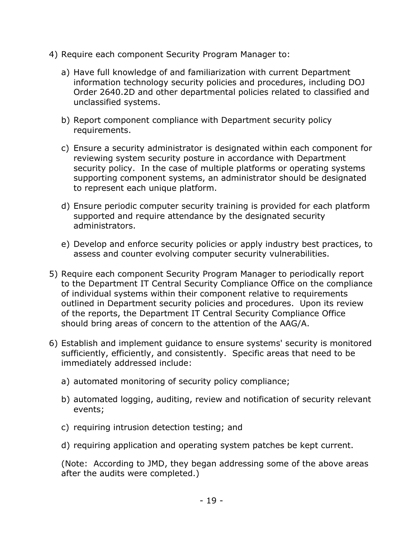- 4) Require each component Security Program Manager to:
	- a) Have full knowledge of and familiarization with current Department information technology security policies and procedures, including DOJ Order 2640.2D and other departmental policies related to classified and unclassified systems.
	- b) Report component compliance with Department security policy requirements.
	- c) Ensure a security administrator is designated within each component for reviewing system security posture in accordance with Department security policy. In the case of multiple platforms or operating systems supporting component systems, an administrator should be designated to represent each unique platform.
	- d) Ensure periodic computer security training is provided for each platform supported and require attendance by the designated security administrators.
	- e) Develop and enforce security policies or apply industry best practices, to assess and counter evolving computer security vulnerabilities.
- 5) Require each component Security Program Manager to periodically report to the Department IT Central Security Compliance Office on the compliance of individual systems within their component relative to requirements outlined in Department security policies and procedures. Upon its review of the reports, the Department IT Central Security Compliance Office should bring areas of concern to the attention of the AAG/A.
- 6) Establish and implement guidance to ensure systems' security is monitored sufficiently, efficiently, and consistently. Specific areas that need to be immediately addressed include:
	- a) automated monitoring of security policy compliance;
	- b) automated logging, auditing, review and notification of security relevant events;
	- c) requiring intrusion detection testing; and
	- d) requiring application and operating system patches be kept current.

(Note: According to JMD, they began addressing some of the above areas after the audits were completed.)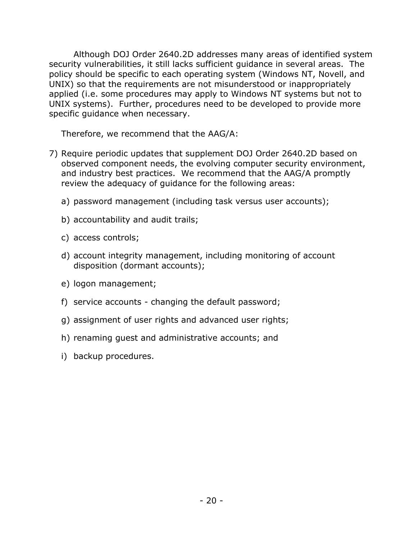Although DOJ Order 2640.2D addresses many areas of identified system security vulnerabilities, it still lacks sufficient guidance in several areas. The policy should be specific to each operating system (Windows NT, Novell, and UNIX) so that the requirements are not misunderstood or inappropriately applied (i.e. some procedures may apply to Windows NT systems but not to UNIX systems). Further, procedures need to be developed to provide more specific guidance when necessary.

Therefore, we recommend that the AAG/A:

- 7) Require periodic updates that supplement DOJ Order 2640.2D based on observed component needs, the evolving computer security environment, and industry best practices. We recommend that the AAG/A promptly review the adequacy of guidance for the following areas:
	- a) password management (including task versus user accounts);
	- b) accountability and audit trails;
	- c) access controls;
	- d) account integrity management, including monitoring of account disposition (dormant accounts);
	- e) logon management;
	- f) service accounts changing the default password;
	- g) assignment of user rights and advanced user rights;
	- h) renaming guest and administrative accounts; and
	- i) backup procedures.